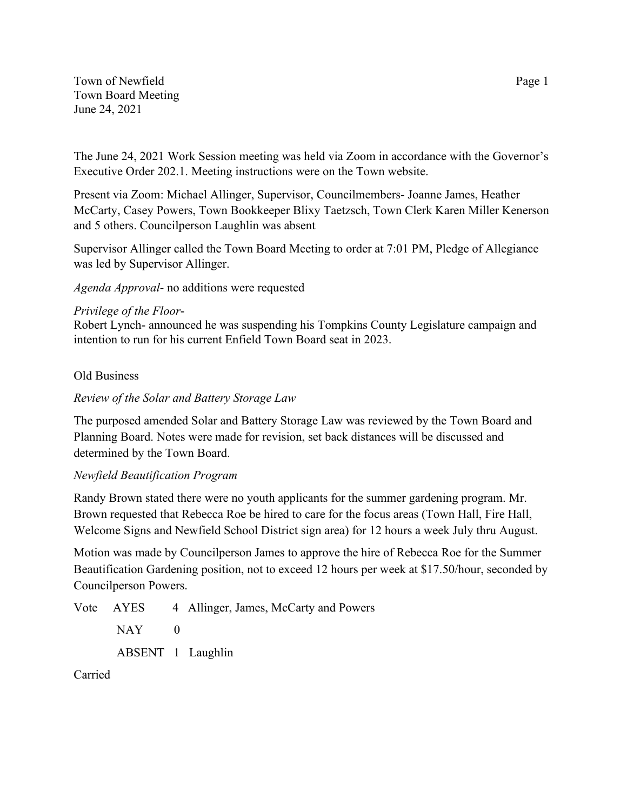Town of Newfield Page 1 Town Board Meeting June 24, 2021

The June 24, 2021 Work Session meeting was held via Zoom in accordance with the Governor's Executive Order 202.1. Meeting instructions were on the Town website.

Present via Zoom: Michael Allinger, Supervisor, Councilmembers- Joanne James, Heather McCarty, Casey Powers, Town Bookkeeper Blixy Taetzsch, Town Clerk Karen Miller Kenerson and 5 others. Councilperson Laughlin was absent

Supervisor Allinger called the Town Board Meeting to order at 7:01 PM, Pledge of Allegiance was led by Supervisor Allinger.

*Agenda Approval*- no additions were requested

# *Privilege of the Floor*-

Robert Lynch- announced he was suspending his Tompkins County Legislature campaign and intention to run for his current Enfield Town Board seat in 2023.

### Old Business

# *Review of the Solar and Battery Storage Law*

The purposed amended Solar and Battery Storage Law was reviewed by the Town Board and Planning Board. Notes were made for revision, set back distances will be discussed and determined by the Town Board.

# *Newfield Beautification Program*

Randy Brown stated there were no youth applicants for the summer gardening program. Mr. Brown requested that Rebecca Roe be hired to care for the focus areas (Town Hall, Fire Hall, Welcome Signs and Newfield School District sign area) for 12 hours a week July thru August.

Motion was made by Councilperson James to approve the hire of Rebecca Roe for the Summer Beautification Gardening position, not to exceed 12 hours per week at \$17.50/hour, seconded by Councilperson Powers.

Vote AYES 4 Allinger, James, McCarty and Powers  $NAY$  0 ABSENT 1 Laughlin

Carried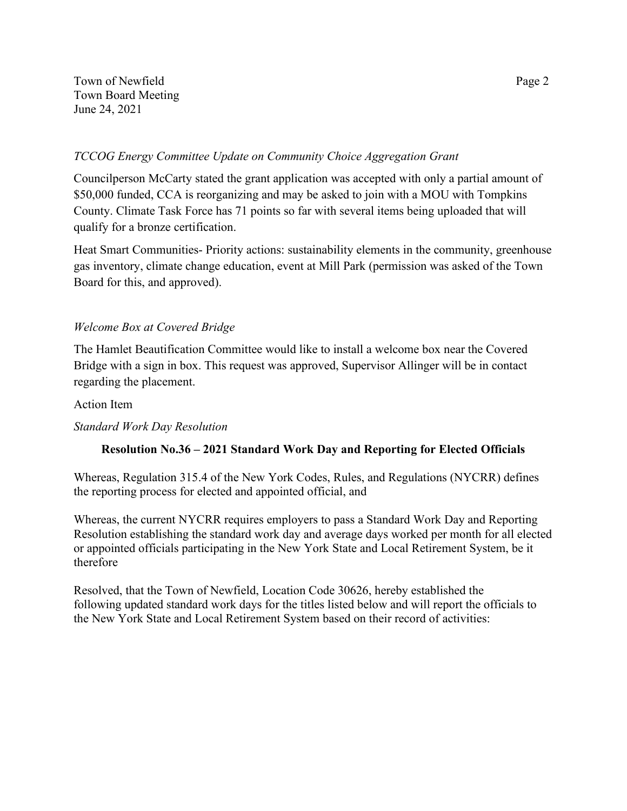Town of Newfield Page 2 Town Board Meeting June 24, 2021

## *TCCOG Energy Committee Update on Community Choice Aggregation Grant*

Councilperson McCarty stated the grant application was accepted with only a partial amount of \$50,000 funded, CCA is reorganizing and may be asked to join with a MOU with Tompkins County. Climate Task Force has 71 points so far with several items being uploaded that will qualify for a bronze certification.

Heat Smart Communities- Priority actions: sustainability elements in the community, greenhouse gas inventory, climate change education, event at Mill Park (permission was asked of the Town Board for this, and approved).

# *Welcome Box at Covered Bridge*

The Hamlet Beautification Committee would like to install a welcome box near the Covered Bridge with a sign in box. This request was approved, Supervisor Allinger will be in contact regarding the placement.

#### Action Item

# *Standard Work Day Resolution*

# **Resolution No.36 – 2021 Standard Work Day and Reporting for Elected Officials**

Whereas, Regulation 315.4 of the New York Codes, Rules, and Regulations (NYCRR) defines the reporting process for elected and appointed official, and

Whereas, the current NYCRR requires employers to pass a Standard Work Day and Reporting Resolution establishing the standard work day and average days worked per month for all elected or appointed officials participating in the New York State and Local Retirement System, be it therefore

Resolved, that the Town of Newfield, Location Code 30626, hereby established the following updated standard work days for the titles listed below and will report the officials to the New York State and Local Retirement System based on their record of activities: